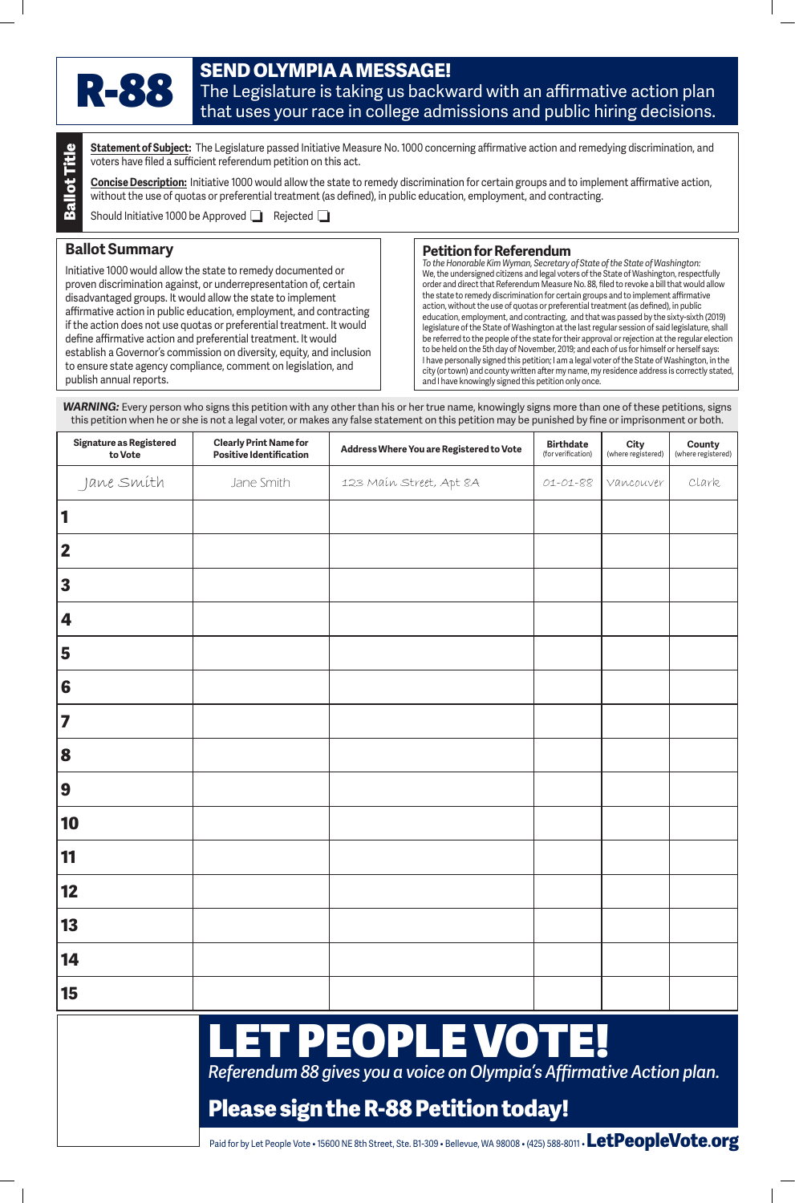*Referendum 88 gives you a voice on Olympia's Affirmative Action plan.*

# **Please sign the R-88 Petition today!**



**Statement of Subject:** The Legislature passed Initiative Measure No. 1000 concerning affirmative action and remedying discrimination, and voters have filed a sufficient referendum petition on this act.

## **Ballot Summary**

### **Petition for Referendum**

| <b>Ballot Title</b><br><b>Statement of Subject:</b> The Legislature passed Initiative Measure No. 1000 concerning affirmative action and remedying discrimination, and<br>voters have filed a sufficient referendum petition on this act.<br>Concise Description: Initiative 1000 would allow the state to remedy discrimination for certain groups and to implement affirmative action,<br>without the use of quotas or preferential treatment (as defined), in public education, employment, and contracting.<br>Should Initiative 1000 be Approved<br>Rejected $\Box$ |                                                                                                                                                                                                                                                                                                                                                                                                                                                                                                                                                                |                                          |                                                                                                                                                                                                                                                                                                                                                                                                                                                                                                                                                                                                                                                                                                                                                                                                                                                                                                                                                                                                                                                                                                                                                                                                                                                                                                                                                                                                                                               |                                        |                                   |                              |
|--------------------------------------------------------------------------------------------------------------------------------------------------------------------------------------------------------------------------------------------------------------------------------------------------------------------------------------------------------------------------------------------------------------------------------------------------------------------------------------------------------------------------------------------------------------------------|----------------------------------------------------------------------------------------------------------------------------------------------------------------------------------------------------------------------------------------------------------------------------------------------------------------------------------------------------------------------------------------------------------------------------------------------------------------------------------------------------------------------------------------------------------------|------------------------------------------|-----------------------------------------------------------------------------------------------------------------------------------------------------------------------------------------------------------------------------------------------------------------------------------------------------------------------------------------------------------------------------------------------------------------------------------------------------------------------------------------------------------------------------------------------------------------------------------------------------------------------------------------------------------------------------------------------------------------------------------------------------------------------------------------------------------------------------------------------------------------------------------------------------------------------------------------------------------------------------------------------------------------------------------------------------------------------------------------------------------------------------------------------------------------------------------------------------------------------------------------------------------------------------------------------------------------------------------------------------------------------------------------------------------------------------------------------|----------------------------------------|-----------------------------------|------------------------------|
| <b>Ballot Summary</b><br>publish annual reports.                                                                                                                                                                                                                                                                                                                                                                                                                                                                                                                         | Initiative 1000 would allow the state to remedy documented or<br>proven discrimination against, or underrepresentation of, certain<br>disadvantaged groups. It would allow the state to implement<br>affirmative action in public education, employment, and contracting<br>if the action does not use quotas or preferential treatment. It would<br>define affirmative action and preferential treatment. It would<br>establish a Governor's commission on diversity, equity, and inclusion<br>to ensure state agency compliance, comment on legislation, and |                                          | <b>Petition for Referendum</b><br>To the Honorable Kim Wyman, Secretary of State of the State of Washington:<br>We, the undersigned citizens and legal voters of the State of Washington, respectfully<br>order and direct that Referendum Measure No. 88, filed to revoke a bill that would allow<br>the state to remedy discrimination for certain groups and to implement affirmative<br>action, without the use of quotas or preferential treatment (as defined), in public<br>education, employment, and contracting, and that was passed by the sixty-sixth (2019)<br>legislature of the State of Washington at the last regular session of said legislature, shall<br>be referred to the people of the state for their approval or rejection at the regular election<br>to be held on the 5th day of November, 2019; and each of us for himself or herself says:<br>I have personally signed this petition; I am a legal voter of the State of Washington, in the<br>city (or town) and county written after my name, my residence address is correctly stated,<br>and I have knowingly signed this petition only once.<br><b>WARNING:</b> Every person who signs this petition with any other than his or her true name, knowingly signs more than one of these petitions, signs<br>this petition when he or she is not a legal voter, or makes any false statement on this petition may be punished by fine or imprisonment or both. |                                        |                                   |                              |
| <b>Signature as Registered</b><br>to Vote                                                                                                                                                                                                                                                                                                                                                                                                                                                                                                                                | <b>Clearly Print Name for</b><br><b>Positive Identification</b>                                                                                                                                                                                                                                                                                                                                                                                                                                                                                                | Address Where You are Registered to Vote |                                                                                                                                                                                                                                                                                                                                                                                                                                                                                                                                                                                                                                                                                                                                                                                                                                                                                                                                                                                                                                                                                                                                                                                                                                                                                                                                                                                                                                               | <b>Birthdate</b><br>(for verification) | <b>City</b><br>(where registered) | County<br>(where registered) |
| Jane Smíth                                                                                                                                                                                                                                                                                                                                                                                                                                                                                                                                                               | Jane Smith                                                                                                                                                                                                                                                                                                                                                                                                                                                                                                                                                     |                                          | 123 Main Street, Apt 8A                                                                                                                                                                                                                                                                                                                                                                                                                                                                                                                                                                                                                                                                                                                                                                                                                                                                                                                                                                                                                                                                                                                                                                                                                                                                                                                                                                                                                       | 01-01-88                               | Vancouver                         | Clark                        |
| 3                                                                                                                                                                                                                                                                                                                                                                                                                                                                                                                                                                        |                                                                                                                                                                                                                                                                                                                                                                                                                                                                                                                                                                |                                          |                                                                                                                                                                                                                                                                                                                                                                                                                                                                                                                                                                                                                                                                                                                                                                                                                                                                                                                                                                                                                                                                                                                                                                                                                                                                                                                                                                                                                                               |                                        |                                   |                              |
| 4                                                                                                                                                                                                                                                                                                                                                                                                                                                                                                                                                                        |                                                                                                                                                                                                                                                                                                                                                                                                                                                                                                                                                                |                                          |                                                                                                                                                                                                                                                                                                                                                                                                                                                                                                                                                                                                                                                                                                                                                                                                                                                                                                                                                                                                                                                                                                                                                                                                                                                                                                                                                                                                                                               |                                        |                                   |                              |
| 5                                                                                                                                                                                                                                                                                                                                                                                                                                                                                                                                                                        |                                                                                                                                                                                                                                                                                                                                                                                                                                                                                                                                                                |                                          |                                                                                                                                                                                                                                                                                                                                                                                                                                                                                                                                                                                                                                                                                                                                                                                                                                                                                                                                                                                                                                                                                                                                                                                                                                                                                                                                                                                                                                               |                                        |                                   |                              |
| 6                                                                                                                                                                                                                                                                                                                                                                                                                                                                                                                                                                        |                                                                                                                                                                                                                                                                                                                                                                                                                                                                                                                                                                |                                          |                                                                                                                                                                                                                                                                                                                                                                                                                                                                                                                                                                                                                                                                                                                                                                                                                                                                                                                                                                                                                                                                                                                                                                                                                                                                                                                                                                                                                                               |                                        |                                   |                              |
|                                                                                                                                                                                                                                                                                                                                                                                                                                                                                                                                                                          |                                                                                                                                                                                                                                                                                                                                                                                                                                                                                                                                                                |                                          |                                                                                                                                                                                                                                                                                                                                                                                                                                                                                                                                                                                                                                                                                                                                                                                                                                                                                                                                                                                                                                                                                                                                                                                                                                                                                                                                                                                                                                               |                                        |                                   |                              |
| 8                                                                                                                                                                                                                                                                                                                                                                                                                                                                                                                                                                        |                                                                                                                                                                                                                                                                                                                                                                                                                                                                                                                                                                |                                          |                                                                                                                                                                                                                                                                                                                                                                                                                                                                                                                                                                                                                                                                                                                                                                                                                                                                                                                                                                                                                                                                                                                                                                                                                                                                                                                                                                                                                                               |                                        |                                   |                              |
| 9                                                                                                                                                                                                                                                                                                                                                                                                                                                                                                                                                                        |                                                                                                                                                                                                                                                                                                                                                                                                                                                                                                                                                                |                                          |                                                                                                                                                                                                                                                                                                                                                                                                                                                                                                                                                                                                                                                                                                                                                                                                                                                                                                                                                                                                                                                                                                                                                                                                                                                                                                                                                                                                                                               |                                        |                                   |                              |
| 10                                                                                                                                                                                                                                                                                                                                                                                                                                                                                                                                                                       |                                                                                                                                                                                                                                                                                                                                                                                                                                                                                                                                                                |                                          |                                                                                                                                                                                                                                                                                                                                                                                                                                                                                                                                                                                                                                                                                                                                                                                                                                                                                                                                                                                                                                                                                                                                                                                                                                                                                                                                                                                                                                               |                                        |                                   |                              |
| 11                                                                                                                                                                                                                                                                                                                                                                                                                                                                                                                                                                       |                                                                                                                                                                                                                                                                                                                                                                                                                                                                                                                                                                |                                          |                                                                                                                                                                                                                                                                                                                                                                                                                                                                                                                                                                                                                                                                                                                                                                                                                                                                                                                                                                                                                                                                                                                                                                                                                                                                                                                                                                                                                                               |                                        |                                   |                              |
| 12                                                                                                                                                                                                                                                                                                                                                                                                                                                                                                                                                                       |                                                                                                                                                                                                                                                                                                                                                                                                                                                                                                                                                                |                                          |                                                                                                                                                                                                                                                                                                                                                                                                                                                                                                                                                                                                                                                                                                                                                                                                                                                                                                                                                                                                                                                                                                                                                                                                                                                                                                                                                                                                                                               |                                        |                                   |                              |
| 13                                                                                                                                                                                                                                                                                                                                                                                                                                                                                                                                                                       |                                                                                                                                                                                                                                                                                                                                                                                                                                                                                                                                                                |                                          |                                                                                                                                                                                                                                                                                                                                                                                                                                                                                                                                                                                                                                                                                                                                                                                                                                                                                                                                                                                                                                                                                                                                                                                                                                                                                                                                                                                                                                               |                                        |                                   |                              |
| 14                                                                                                                                                                                                                                                                                                                                                                                                                                                                                                                                                                       |                                                                                                                                                                                                                                                                                                                                                                                                                                                                                                                                                                |                                          |                                                                                                                                                                                                                                                                                                                                                                                                                                                                                                                                                                                                                                                                                                                                                                                                                                                                                                                                                                                                                                                                                                                                                                                                                                                                                                                                                                                                                                               |                                        |                                   |                              |
| 15                                                                                                                                                                                                                                                                                                                                                                                                                                                                                                                                                                       |                                                                                                                                                                                                                                                                                                                                                                                                                                                                                                                                                                |                                          |                                                                                                                                                                                                                                                                                                                                                                                                                                                                                                                                                                                                                                                                                                                                                                                                                                                                                                                                                                                                                                                                                                                                                                                                                                                                                                                                                                                                                                               |                                        |                                   |                              |
| I ET DEADI E VATEI                                                                                                                                                                                                                                                                                                                                                                                                                                                                                                                                                       |                                                                                                                                                                                                                                                                                                                                                                                                                                                                                                                                                                |                                          |                                                                                                                                                                                                                                                                                                                                                                                                                                                                                                                                                                                                                                                                                                                                                                                                                                                                                                                                                                                                                                                                                                                                                                                                                                                                                                                                                                                                                                               |                                        |                                   |                              |

# I – VOTE PEOPLE

Paid for by Let People Vote • 15600 NE 8th Street, Ste. B1-309 • Bellevue, WA 98008 • (425) 588-8011 • **LetPeopleVote**.**org**

# **SEND OLYMPIA A MESSAGE!**

## The Legislature is taking us backward with an affirmative action plan that uses your race in college admissions and public hiring decisions.